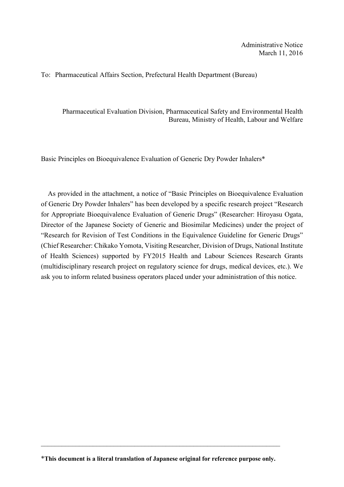## To: Pharmaceutical Affairs Section, Prefectural Health Department (Bureau)

Pharmaceutical Evaluation Division, Pharmaceutical Safety and Environmental Health Bureau, Ministry of Health, Labour and Welfare

Basic Principles on Bioequivalence Evaluation of Generic Dry Powder Inhalers\*

As provided in the attachment, a notice of "Basic Principles on Bioequivalence Evaluation of Generic Dry Powder Inhalers" has been developed by a specific research project "Research for Appropriate Bioequivalence Evaluation of Generic Drugs" (Researcher: Hiroyasu Ogata, Director of the Japanese Society of Generic and Biosimilar Medicines) under the project of "Research for Revision of Test Conditions in the Equivalence Guideline for Generic Drugs" (Chief Researcher: Chikako Yomota, Visiting Researcher, Division of Drugs, National Institute of Health Sciences) supported by FY2015 Health and Labour Sciences Research Grants (multidisciplinary research project on regulatory science for drugs, medical devices, etc.). We ask you to inform related business operators placed under your administration of this notice.

<sup>\*</sup>This document is a literal translation of Japanese original for reference purpose only.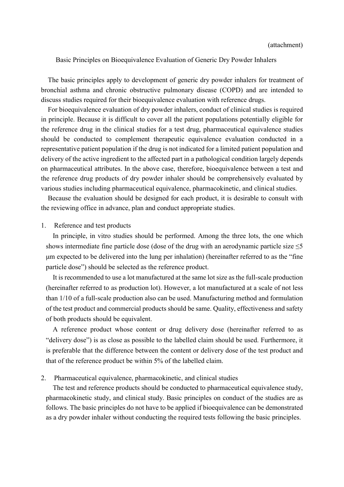Basic Principles on Bioequivalence Evaluation of Generic Dry Powder Inhalers

The basic principles apply to development of generic dry powder inhalers for treatment of bronchial asthma and chronic obstructive pulmonary disease (COPD) and are intended to discuss studies required for their bioequivalence evaluation with reference drugs.

For bioequivalence evaluation of dry powder inhalers, conduct of clinical studies is required in principle. Because it is difficult to cover all the patient populations potentially eligible for the reference drug in the clinical studies for a test drug, pharmaceutical equivalence studies should be conducted to complement therapeutic equivalence evaluation conducted in a representative patient population if the drug is not indicated for a limited patient population and delivery of the active ingredient to the affected part in a pathological condition largely depends on pharmaceutical attributes. In the above case, therefore, bioequivalence between a test and the reference drug products of dry powder inhaler should be comprehensively evaluated by various studies including pharmaceutical equivalence, pharmacokinetic, and clinical studies.

Because the evaluation should be designed for each product, it is desirable to consult with the reviewing office in advance, plan and conduct appropriate studies.

## 1. Reference and test products

In principle, in vitro studies should be performed. Among the three lots, the one which shows intermediate fine particle dose (dose of the drug with an aerodynamic particle size  $\leq$ 5 μm expected to be delivered into the lung per inhalation) (hereinafter referred to as the "fine particle dose") should be selected as the reference product.

It is recommended to use a lot manufactured at the same lot size as the full-scale production (hereinafter referred to as production lot). However, a lot manufactured at a scale of not less than 1/10 of a full-scale production also can be used. Manufacturing method and formulation of the test product and commercial products should be same. Quality, effectiveness and safety of both products should be equivalent.

A reference product whose content or drug delivery dose (hereinafter referred to as "delivery dose") is as close as possible to the labelled claim should be used. Furthermore, it is preferable that the difference between the content or delivery dose of the test product and that of the reference product be within 5% of the labelled claim.

## 2. Pharmaceutical equivalence, pharmacokinetic, and clinical studies

The test and reference products should be conducted to pharmaceutical equivalence study, pharmacokinetic study, and clinical study. Basic principles on conduct of the studies are as follows. The basic principles do not have to be applied if bioequivalence can be demonstrated as a dry powder inhaler without conducting the required tests following the basic principles.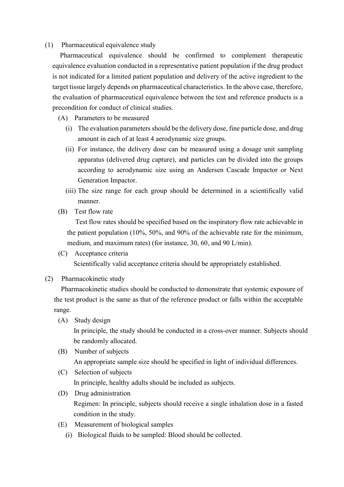## (1) Pharmaceutical equivalence study

Pharmaceutical equivalence should be confirmed to complement therapeutic equivalence evaluation conducted in a representative patient population if the drug product is not indicated for a limited patient population and delivery of the active ingredient to the target tissue largely depends on pharmaceutical characteristics. In the above case, therefore, the evaluation of pharmaceutical equivalence between the test and reference products is a precondition for conduct of clinical studies.

- (A) Parameters to be measured
	- (i) The evaluation parameters should be the delivery dose, fine particle dose, and drug amount in each of at least 4 aerodynamic size groups.
	- (ii) For instance, the delivery dose can be measured using a dosage unit sampling apparatus (delivered drug capture), and particles can be divided into the groups according to aerodynamic size using an Andersen Cascade Impactor or Next Generation Impactor.
	- (iii) The size range for each group should be determined in a scientifically valid manner.
- (B) Test flow rate

Test flow rates should be specified based on the inspiratory flow rate achievable in the patient population (10%, 50%, and 90% of the achievable rate for the minimum, medium, and maximum rates) (for instance, 30, 60, and 90 L/min).

- (C) Acceptance criteria Scientifically valid acceptance criteria should be appropriately established.
- (2) Pharmacokinetic study

Pharmacokinetic studies should be conducted to demonstrate that systemic exposure of the test product is the same as that of the reference product or falls within the acceptable range.

(A) Study design

In principle, the study should be conducted in a cross-over manner. Subjects should be randomly allocated.

(B) Number of subjects

An appropriate sample size should be specified in light of individual differences.

- (C) Selection of subjects In principle, healthy adults should be included as subjects.
- (D) Drug administration Regimen: In principle, subjects should receive a single inhalation dose in a fasted condition in the study.
- (E) Measurement of biological samples
	- (i) Biological fluids to be sampled: Blood should be collected.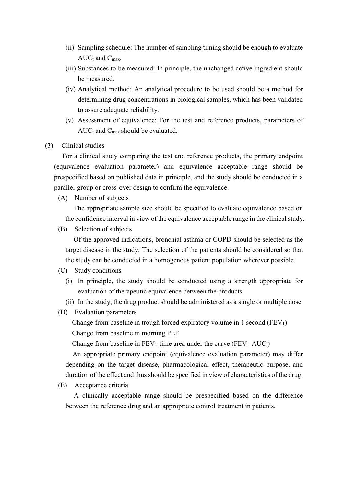- (ii) Sampling schedule: The number of sampling timing should be enough to evaluate  $AUC_t$  and  $C_{max}$ .
- (iii) Substances to be measured: In principle, the unchanged active ingredient should be measured.
- (iv) Analytical method: An analytical procedure to be used should be a method for determining drug concentrations in biological samples, which has been validated to assure adequate reliability.
- (v) Assessment of equivalence: For the test and reference products, parameters of  $AUC_t$  and  $C_{max}$  should be evaluated.
- (3) Clinical studies

For a clinical study comparing the test and reference products, the primary endpoint (equivalence evaluation parameter) and equivalence acceptable range should be prespecified based on published data in principle, and the study should be conducted in a parallel-group or cross-over design to confirm the equivalence.

(A) Number of subjects

The appropriate sample size should be specified to evaluate equivalence based on the confidence interval in view of the equivalence acceptable range in the clinical study.

(B) Selection of subjects

Of the approved indications, bronchial asthma or COPD should be selected as the target disease in the study. The selection of the patients should be considered so that the study can be conducted in a homogenous patient population wherever possible.

- (C) Study conditions
	- (i) In principle, the study should be conducted using a strength appropriate for evaluation of therapeutic equivalence between the products.
	- (ii) In the study, the drug product should be administered as a single or multiple dose.
- (D) Evaluation parameters

Change from baseline in trough forced expiratory volume in 1 second  $(FEV<sub>1</sub>)$ Change from baseline in morning PEF

Change from baseline in  $FEV_1$ -time area under the curve  $(FEV_1-AUC_t)$ 

An appropriate primary endpoint (equivalence evaluation parameter) may differ depending on the target disease, pharmacological effect, therapeutic purpose, and duration of the effect and thus should be specified in view of characteristics of the drug.

(E) Acceptance criteria

A clinically acceptable range should be prespecified based on the difference between the reference drug and an appropriate control treatment in patients.